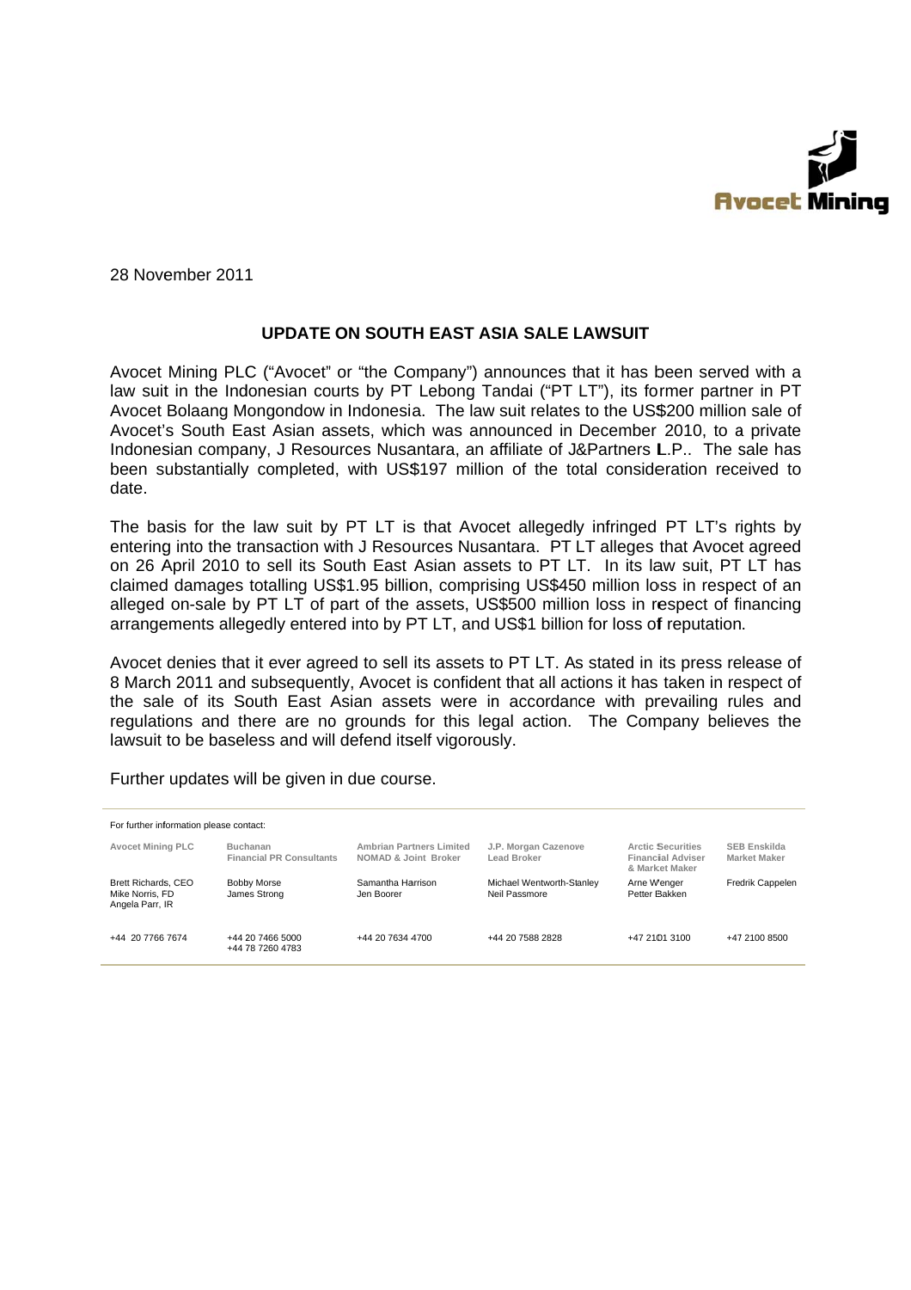

28 November 2011

## UPDATE ON SOUTH FAST ASIA SALE LAWSUIT

Avocet Mining PLC ("Avocet" or "the Company") announces that it has been served with a law suit in the Indonesian courts by PT Lebong Tandai ("PT LT"), its former partner in PT Avocet Bolaang Mongondow in Indonesia. The law suit relates to the US\$200 million sale of Avocet's South East Asian assets, which was announced in December 2010, to a private Indonesian company, J Resources Nusantara, an affiliate of J&Partners L.P.. The sale has been substantially completed, with US\$197 million of the total consideration received to date.

The basis for the law suit by PT LT is that Avocet allegedly infringed PT LT's rights by entering into the transaction with J Resources Nusantara. PT LT alleges that Avocet agreed on 26 April 2010 to sell its South East Asian assets to PT LT. In its law suit, PT LT has claimed damages totalling US\$1.95 billion, comprising US\$450 million loss in respect of an alleged on-sale by PT LT of part of the assets, US\$500 million loss in respect of financing arrangements allegedly entered into by PT LT, and US\$1 billion for loss of reputation.

Avocet denies that it ever agreed to sell its assets to PT LT. As stated in its press release of 8 March 2011 and subsequently, Avocet is confident that all actions it has taken in respect of the sale of its South East Asian assets were in accordance with prevailing rules and regulations and there are no grounds for this legal action. The Company believes the lawsuit to be baseless and will defend itself vigorously.

| For further information please contact:                          |                                                    |                                                         |                                            |                                                                        |                                            |
|------------------------------------------------------------------|----------------------------------------------------|---------------------------------------------------------|--------------------------------------------|------------------------------------------------------------------------|--------------------------------------------|
| <b>Avocet Mining PLC</b>                                         | <b>Buchanan</b><br><b>Financial PR Consultants</b> | <b>Ambrian Partners Limited</b><br>NOMAD & Joint Broker | J.P. Morgan Cazenove<br>Lead Broker        | <b>Arctic Securities</b><br><b>Financial Adviser</b><br>& Market Maker | <b>SEB Enskilda</b><br><b>Market Maker</b> |
| <b>Brett Richards, CEO</b><br>Mike Norris, FD<br>Angela Parr, IR | Bobby Morse<br>James Strong                        | Samantha Harrison<br>Jen Boorer                         | Michael Wentworth-Stanley<br>Neil Passmore | Arne W'enger<br>Petter Bakken                                          | Fredrik Cappelen                           |
| +44 20 7766 7674                                                 | +44 20 7466 5000<br>+44 78 7260 4783               | +44 20 7634 4700                                        | +44 20 7588 2828                           | +47 2101 3100                                                          | +47 2100 8500                              |

Further updates will be given in due course.